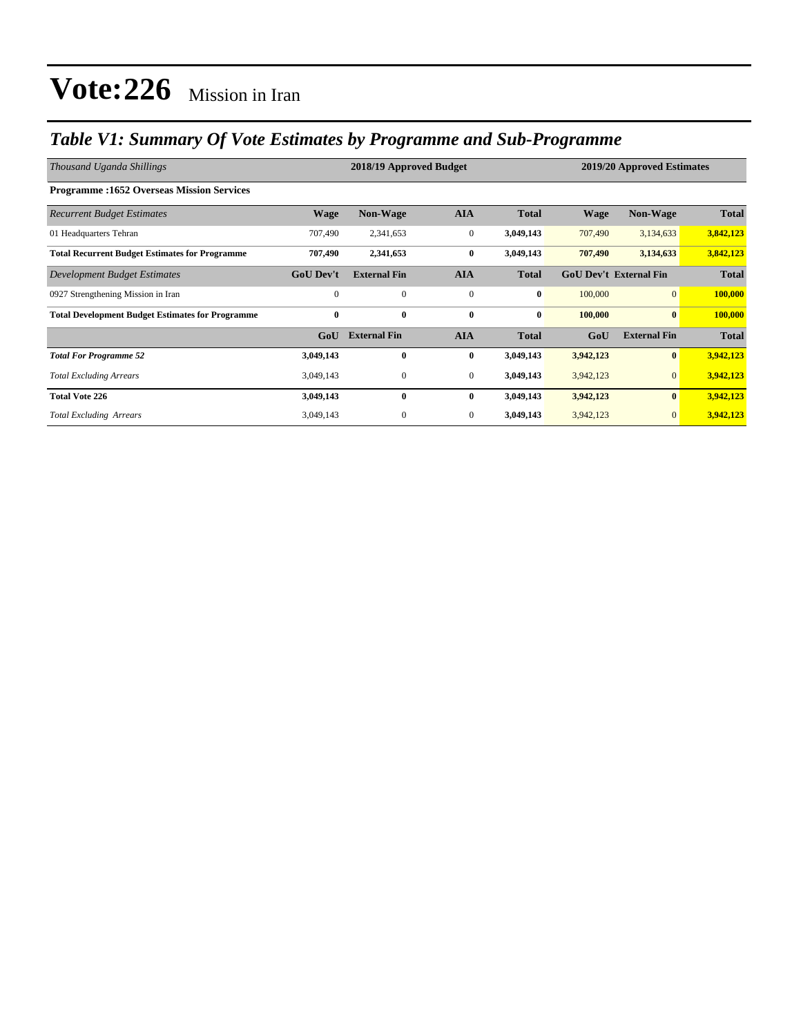### *Table V1: Summary Of Vote Estimates by Programme and Sub-Programme*

| Thousand Uganda Shillings                               |                  | 2018/19 Approved Budget |              | 2019/20 Approved Estimates |                               |                     |              |
|---------------------------------------------------------|------------------|-------------------------|--------------|----------------------------|-------------------------------|---------------------|--------------|
| <b>Programme:1652 Overseas Mission Services</b>         |                  |                         |              |                            |                               |                     |              |
| <b>Recurrent Budget Estimates</b>                       | <b>Wage</b>      | Non-Wage                | <b>AIA</b>   | <b>Total</b>               | <b>Wage</b>                   | Non-Wage            | <b>Total</b> |
| 01 Headquarters Tehran                                  | 707,490          | 2,341,653               | $\mathbf{0}$ | 3,049,143                  | 707,490                       | 3,134,633           | 3,842,123    |
| <b>Total Recurrent Budget Estimates for Programme</b>   | 707,490          | 2,341,653               | $\bf{0}$     | 3,049,143                  | 707,490                       | 3,134,633           | 3,842,123    |
| Development Budget Estimates                            | <b>GoU Dev't</b> | <b>External Fin</b>     | <b>AIA</b>   | <b>Total</b>               | <b>GoU Dev't External Fin</b> |                     | <b>Total</b> |
| 0927 Strengthening Mission in Iran                      | $\mathbf{0}$     | $\mathbf{0}$            | $\mathbf{0}$ | $\bf{0}$                   | 100,000                       | $\overline{0}$      | 100,000      |
| <b>Total Development Budget Estimates for Programme</b> | $\bf{0}$         | $\bf{0}$                | $\bf{0}$     | $\bf{0}$                   | 100,000                       | $\bf{0}$            | 100,000      |
|                                                         | GoU              | <b>External Fin</b>     | <b>AIA</b>   | <b>Total</b>               | GoU                           | <b>External Fin</b> | <b>Total</b> |
| <b>Total For Programme 52</b>                           | 3,049,143        | $\bf{0}$                | $\bf{0}$     | 3,049,143                  | 3,942,123                     | $\bf{0}$            | 3,942,123    |
| <b>Total Excluding Arrears</b>                          | 3,049,143        | $\mathbf{0}$            | $\mathbf{0}$ | 3,049,143                  | 3,942,123                     | $\mathbf{0}$        | 3,942,123    |
| <b>Total Vote 226</b>                                   | 3,049,143        | $\bf{0}$                | $\bf{0}$     | 3,049,143                  | 3,942,123                     | $\bf{0}$            | 3,942,123    |
| <b>Total Excluding Arrears</b>                          | 3,049,143        | $\boldsymbol{0}$        | $\mathbf{0}$ | 3,049,143                  | 3,942,123                     | $\mathbf{0}$        | 3,942,123    |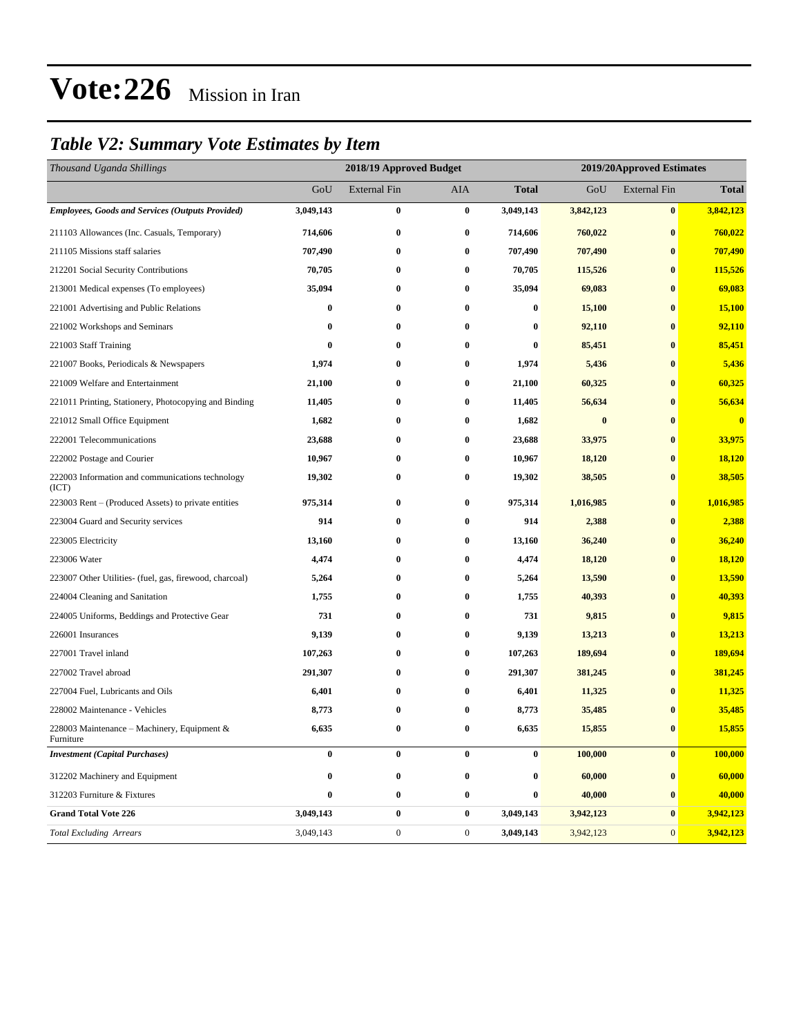### *Table V2: Summary Vote Estimates by Item*

| Thousand Uganda Shillings                                 |           | 2018/19 Approved Budget |                  | 2019/20Approved Estimates |           |                     |              |
|-----------------------------------------------------------|-----------|-------------------------|------------------|---------------------------|-----------|---------------------|--------------|
|                                                           | GoU       | <b>External Fin</b>     | AIA              | <b>Total</b>              | GoU       | <b>External Fin</b> | <b>Total</b> |
| <b>Employees, Goods and Services (Outputs Provided)</b>   | 3,049,143 | $\boldsymbol{0}$        | $\bf{0}$         | 3,049,143                 | 3,842,123 | $\bf{0}$            | 3,842,123    |
| 211103 Allowances (Inc. Casuals, Temporary)               | 714,606   | $\bf{0}$                | $\bf{0}$         | 714,606                   | 760,022   | $\bf{0}$            | 760,022      |
| 211105 Missions staff salaries                            | 707,490   | $\bf{0}$                | $\bf{0}$         | 707,490                   | 707,490   | $\bf{0}$            | 707,490      |
| 212201 Social Security Contributions                      | 70,705    | 0                       | $\bf{0}$         | 70,705                    | 115,526   | $\bf{0}$            | 115,526      |
| 213001 Medical expenses (To employees)                    | 35,094    | $\bf{0}$                | $\bf{0}$         | 35,094                    | 69,083    | $\bf{0}$            | 69,083       |
| 221001 Advertising and Public Relations                   | 0         | 0                       | $\bf{0}$         | 0                         | 15,100    | $\bf{0}$            | 15,100       |
| 221002 Workshops and Seminars                             | 0         | $\bf{0}$                | $\bf{0}$         | $\bf{0}$                  | 92,110    | $\bf{0}$            | 92,110       |
| 221003 Staff Training                                     | $\bf{0}$  | $\bf{0}$                | $\bf{0}$         | $\bf{0}$                  | 85,451    | $\bf{0}$            | 85,451       |
| 221007 Books, Periodicals & Newspapers                    | 1,974     | 0                       | $\bf{0}$         | 1,974                     | 5,436     | $\bf{0}$            | 5,436        |
| 221009 Welfare and Entertainment                          | 21,100    | $\bf{0}$                | $\bf{0}$         | 21,100                    | 60,325    | $\bf{0}$            | 60,325       |
| 221011 Printing, Stationery, Photocopying and Binding     | 11,405    | 0                       | $\bf{0}$         | 11,405                    | 56,634    | $\bf{0}$            | 56,634       |
| 221012 Small Office Equipment                             | 1,682     | $\bf{0}$                | $\bf{0}$         | 1,682                     | $\bf{0}$  | $\bf{0}$            | $\bf{0}$     |
| 222001 Telecommunications                                 | 23,688    | 0                       | $\bf{0}$         | 23,688                    | 33,975    | $\bf{0}$            | 33,975       |
| 222002 Postage and Courier                                | 10,967    | 0                       | $\bf{0}$         | 10,967                    | 18,120    | $\bf{0}$            | 18,120       |
| 222003 Information and communications technology<br>(ICT) | 19,302    | $\bf{0}$                | $\bf{0}$         | 19,302                    | 38,505    | $\bf{0}$            | 38,505       |
| 223003 Rent – (Produced Assets) to private entities       | 975,314   | $\bf{0}$                | $\bf{0}$         | 975,314                   | 1,016,985 | $\bf{0}$            | 1,016,985    |
| 223004 Guard and Security services                        | 914       | $\bf{0}$                | $\bf{0}$         | 914                       | 2,388     | $\bf{0}$            | 2,388        |
| 223005 Electricity                                        | 13,160    | $\bf{0}$                | $\bf{0}$         | 13,160                    | 36,240    | $\bf{0}$            | 36,240       |
| 223006 Water                                              | 4,474     | $\bf{0}$                | $\bf{0}$         | 4,474                     | 18,120    | $\bf{0}$            | 18,120       |
| 223007 Other Utilities- (fuel, gas, firewood, charcoal)   | 5,264     | $\bf{0}$                | $\bf{0}$         | 5,264                     | 13,590    | $\bf{0}$            | 13,590       |
| 224004 Cleaning and Sanitation                            | 1,755     | $\bf{0}$                | $\bf{0}$         | 1,755                     | 40,393    | $\bf{0}$            | 40,393       |
| 224005 Uniforms, Beddings and Protective Gear             | 731       | $\bf{0}$                | $\bf{0}$         | 731                       | 9,815     | $\bf{0}$            | 9,815        |
| 226001 Insurances                                         | 9,139     | $\bf{0}$                | $\bf{0}$         | 9,139                     | 13,213    | $\bf{0}$            | 13,213       |
| 227001 Travel inland                                      | 107,263   | $\bf{0}$                | $\bf{0}$         | 107,263                   | 189,694   | $\bf{0}$            | 189,694      |
| 227002 Travel abroad                                      | 291,307   | $\bf{0}$                | $\bf{0}$         | 291,307                   | 381,245   | $\bf{0}$            | 381,245      |
| 227004 Fuel, Lubricants and Oils                          | 6,401     | $\bf{0}$                | $\bf{0}$         | 6,401                     | 11,325    | $\bf{0}$            | 11,325       |
| 228002 Maintenance - Vehicles                             | 8,773     | $\bf{0}$                | $\bf{0}$         | 8,773                     | 35,485    | $\bf{0}$            | 35,485       |
| 228003 Maintenance – Machinery, Equipment &<br>Furniture  | 6,635     | $\bf{0}$                | $\bf{0}$         | 6,635                     | 15,855    | $\bf{0}$            | 15,855       |
| <b>Investment</b> (Capital Purchases)                     | $\bf{0}$  | $\bf{0}$                | $\bf{0}$         | $\boldsymbol{0}$          | 100,000   | $\bf{0}$            | 100,000      |
| 312202 Machinery and Equipment                            | 0         | $\bf{0}$                | $\bf{0}$         | 0                         | 60,000    | $\bf{0}$            | 60,000       |
| 312203 Furniture & Fixtures                               | $\bf{0}$  | $\bf{0}$                | $\bf{0}$         | 0                         | 40,000    | $\bf{0}$            | 40,000       |
| <b>Grand Total Vote 226</b>                               | 3,049,143 | $\pmb{0}$               | $\bf{0}$         | 3,049,143                 | 3,942,123 | $\bf{0}$            | 3,942,123    |
| <b>Total Excluding Arrears</b>                            | 3,049,143 | $\boldsymbol{0}$        | $\boldsymbol{0}$ | 3,049,143                 | 3,942,123 | $\mathbf{0}$        | 3,942,123    |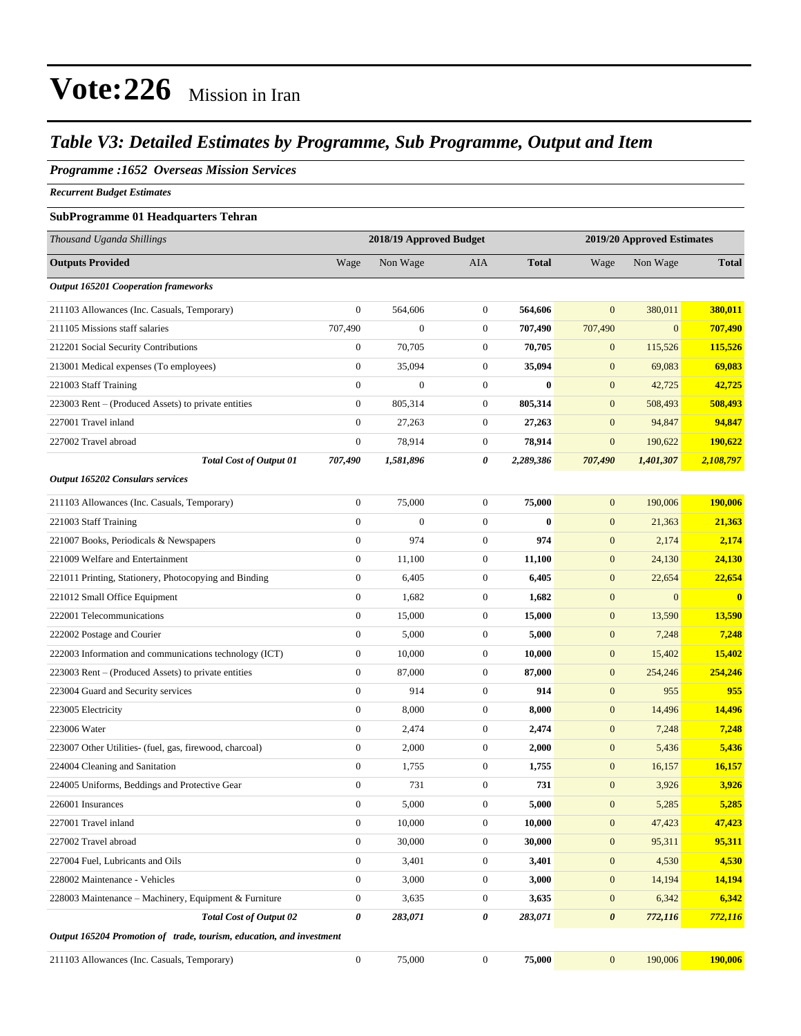#### *Table V3: Detailed Estimates by Programme, Sub Programme, Output and Item*

#### *Programme :1652 Overseas Mission Services*

*Recurrent Budget Estimates*

#### **SubProgramme 01 Headquarters Tehran**

| Thousand Uganda Shillings                                            | 2018/19 Approved Budget |                  |                  |              | 2019/20 Approved Estimates |                |              |
|----------------------------------------------------------------------|-------------------------|------------------|------------------|--------------|----------------------------|----------------|--------------|
| <b>Outputs Provided</b>                                              | Wage                    | Non Wage         | AIA              | <b>Total</b> | Wage                       | Non Wage       | <b>Total</b> |
| <b>Output 165201 Cooperation frameworks</b>                          |                         |                  |                  |              |                            |                |              |
| 211103 Allowances (Inc. Casuals, Temporary)                          | $\boldsymbol{0}$        | 564,606          | $\boldsymbol{0}$ | 564,606      | $\mathbf{0}$               | 380,011        | 380,011      |
| 211105 Missions staff salaries                                       | 707,490                 | $\mathbf{0}$     | $\boldsymbol{0}$ | 707,490      | 707,490                    | $\overline{0}$ | 707,490      |
| 212201 Social Security Contributions                                 | $\overline{0}$          | 70,705           | $\boldsymbol{0}$ | 70,705       | $\mathbf{0}$               | 115,526        | 115,526      |
| 213001 Medical expenses (To employees)                               | $\boldsymbol{0}$        | 35,094           | $\boldsymbol{0}$ | 35,094       | $\mathbf{0}$               | 69,083         | 69,083       |
| 221003 Staff Training                                                | $\boldsymbol{0}$        | $\boldsymbol{0}$ | $\boldsymbol{0}$ | $\bf{0}$     | $\mathbf{0}$               | 42,725         | 42,725       |
| 223003 Rent – (Produced Assets) to private entities                  | $\boldsymbol{0}$        | 805,314          | $\boldsymbol{0}$ | 805,314      | $\mathbf{0}$               | 508,493        | 508,493      |
| 227001 Travel inland                                                 | $\theta$                | 27,263           | $\boldsymbol{0}$ | 27,263       | $\mathbf{0}$               | 94,847         | 94,847       |
| 227002 Travel abroad                                                 | $\boldsymbol{0}$        | 78,914           | $\boldsymbol{0}$ | 78,914       | $\mathbf{0}$               | 190,622        | 190,622      |
| <b>Total Cost of Output 01</b>                                       | 707,490                 | 1,581,896        | 0                | 2,289,386    | 707,490                    | 1,401,307      | 2,108,797    |
| Output 165202 Consulars services                                     |                         |                  |                  |              |                            |                |              |
| 211103 Allowances (Inc. Casuals, Temporary)                          | $\boldsymbol{0}$        | 75,000           | $\boldsymbol{0}$ | 75,000       | $\mathbf{0}$               | 190,006        | 190,006      |
| 221003 Staff Training                                                | $\boldsymbol{0}$        | $\overline{0}$   | $\boldsymbol{0}$ | $\bf{0}$     | $\mathbf{0}$               | 21,363         | 21,363       |
| 221007 Books, Periodicals & Newspapers                               | $\boldsymbol{0}$        | 974              | $\boldsymbol{0}$ | 974          | $\mathbf{0}$               | 2,174          | 2,174        |
| 221009 Welfare and Entertainment                                     | $\boldsymbol{0}$        | 11,100           | $\boldsymbol{0}$ | 11,100       | $\mathbf{0}$               | 24,130         | 24,130       |
| 221011 Printing, Stationery, Photocopying and Binding                | $\mathbf{0}$            | 6,405            | $\boldsymbol{0}$ | 6,405        | $\mathbf{0}$               | 22,654         | 22,654       |
| 221012 Small Office Equipment                                        | $\boldsymbol{0}$        | 1,682            | $\boldsymbol{0}$ | 1,682        | $\mathbf{0}$               | $\mathbf{0}$   | $\bf{0}$     |
| 222001 Telecommunications                                            | $\boldsymbol{0}$        | 15,000           | $\boldsymbol{0}$ | 15,000       | $\mathbf{0}$               | 13,590         | 13,590       |
| 222002 Postage and Courier                                           | $\boldsymbol{0}$        | 5,000            | $\boldsymbol{0}$ | 5,000        | $\mathbf{0}$               | 7,248          | 7,248        |
| 222003 Information and communications technology (ICT)               | $\boldsymbol{0}$        | 10,000           | $\boldsymbol{0}$ | 10,000       | $\mathbf{0}$               | 15,402         | 15,402       |
| 223003 Rent – (Produced Assets) to private entities                  | $\mathbf{0}$            | 87,000           | $\boldsymbol{0}$ | 87,000       | $\mathbf{0}$               | 254,246        | 254,246      |
| 223004 Guard and Security services                                   | $\boldsymbol{0}$        | 914              | $\boldsymbol{0}$ | 914          | $\mathbf{0}$               | 955            | 955          |
| 223005 Electricity                                                   | $\boldsymbol{0}$        | 8,000            | $\boldsymbol{0}$ | 8,000        | $\mathbf{0}$               | 14,496         | 14,496       |
| 223006 Water                                                         | $\boldsymbol{0}$        | 2,474            | $\boldsymbol{0}$ | 2,474        | $\mathbf{0}$               | 7,248          | 7,248        |
| 223007 Other Utilities- (fuel, gas, firewood, charcoal)              | $\boldsymbol{0}$        | 2,000            | $\boldsymbol{0}$ | 2,000        | $\mathbf{0}$               | 5,436          | 5,436        |
| 224004 Cleaning and Sanitation                                       | $\boldsymbol{0}$        | 1,755            | $\boldsymbol{0}$ | 1,755        | $\mathbf{0}$               | 16,157         | 16,157       |
| 224005 Uniforms, Beddings and Protective Gear                        | $\boldsymbol{0}$        | 731              | $\boldsymbol{0}$ | 731          | $\mathbf{0}$               | 3,926          | 3,926        |
| 226001 Insurances                                                    | $\boldsymbol{0}$        | 5,000            | $\boldsymbol{0}$ | 5,000        | $\mathbf{0}$               | 5,285          | 5,285        |
| 227001 Travel inland                                                 | $\boldsymbol{0}$        | 10,000           | $\boldsymbol{0}$ | 10,000       | $\mathbf{0}$               | 47,423         | 47,423       |
| 227002 Travel abroad                                                 | $\boldsymbol{0}$        | 30,000           | $\boldsymbol{0}$ | 30,000       | $\mathbf{0}$               | 95,311         | 95,311       |
| 227004 Fuel, Lubricants and Oils                                     | $\boldsymbol{0}$        | 3,401            | $\boldsymbol{0}$ | 3,401        | $\boldsymbol{0}$           | 4,530          | 4,530        |
| 228002 Maintenance - Vehicles                                        | $\boldsymbol{0}$        | 3,000            | $\boldsymbol{0}$ | 3,000        | $\mathbf{0}$               | 14,194         | 14,194       |
| 228003 Maintenance – Machinery, Equipment & Furniture                | $\boldsymbol{0}$        | 3,635            | $\boldsymbol{0}$ | 3,635        | $\mathbf{0}$               | 6,342          | 6,342        |
| <b>Total Cost of Output 02</b>                                       | $\boldsymbol{\theta}$   | 283,071          | 0                | 283,071      | $\boldsymbol{\theta}$      | 772,116        | 772,116      |
| Output 165204 Promotion of trade, tourism, education, and investment |                         |                  |                  |              |                            |                |              |
| 211103 Allowances (Inc. Casuals, Temporary)                          | $\mathbf{0}$            | 75,000           | $\boldsymbol{0}$ | 75,000       | $\boldsymbol{0}$           | 190,006        | 190,006      |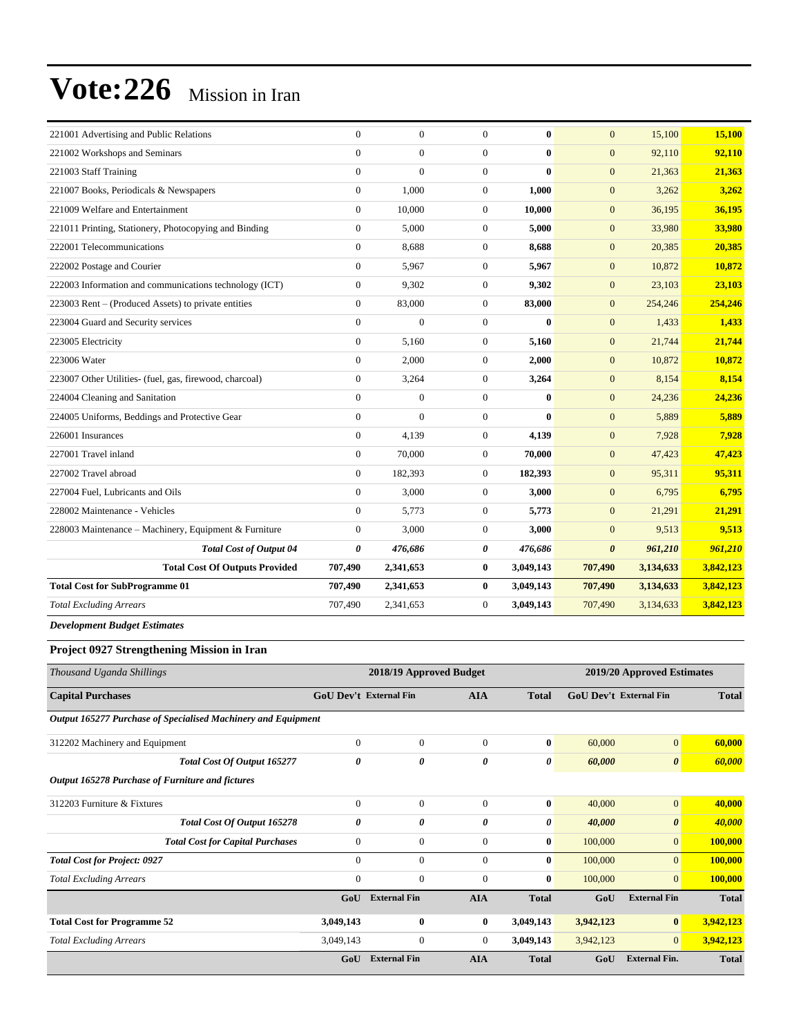| 221001 Advertising and Public Relations                 | $\overline{0}$        | $\overline{0}$   | $\Omega$         | $\bf{0}$     | $\mathbf{0}$          | 15,100    | 15,100    |
|---------------------------------------------------------|-----------------------|------------------|------------------|--------------|-----------------------|-----------|-----------|
| 221002 Workshops and Seminars                           | $\overline{0}$        | $\overline{0}$   | $\overline{0}$   | $\bf{0}$     | $\overline{0}$        | 92.110    | 92,110    |
| 221003 Staff Training                                   | $\overline{0}$        | $\overline{0}$   | $\overline{0}$   | $\mathbf{0}$ | $\mathbf{0}$          | 21,363    | 21,363    |
| 221007 Books, Periodicals & Newspapers                  | $\overline{0}$        | 1,000            | $\boldsymbol{0}$ | 1,000        | $\mathbf{0}$          | 3,262     | 3,262     |
| 221009 Welfare and Entertainment                        | $\mathbf{0}$          | 10,000           | $\boldsymbol{0}$ | 10,000       | $\mathbf{0}$          | 36,195    | 36,195    |
| 221011 Printing, Stationery, Photocopying and Binding   | $\mathbf{0}$          | 5,000            | $\boldsymbol{0}$ | 5,000        | $\mathbf{0}$          | 33,980    | 33,980    |
| 222001 Telecommunications                               | $\overline{0}$        | 8,688            | $\overline{0}$   | 8,688        | $\mathbf{0}$          | 20,385    | 20,385    |
| 222002 Postage and Courier                              | $\mathbf{0}$          | 5,967            | $\mathbf{0}$     | 5,967        | $\mathbf{0}$          | 10,872    | 10,872    |
| 222003 Information and communications technology (ICT)  | $\boldsymbol{0}$      | 9,302            | $\mathbf{0}$     | 9,302        | $\mathbf{0}$          | 23,103    | 23,103    |
| 223003 Rent – (Produced Assets) to private entities     | $\overline{0}$        | 83,000           | $\overline{0}$   | 83,000       | $\mathbf{0}$          | 254,246   | 254,246   |
| 223004 Guard and Security services                      | $\mathbf{0}$          | $\boldsymbol{0}$ | $\boldsymbol{0}$ | $\bf{0}$     | $\mathbf{0}$          | 1,433     | 1,433     |
| 223005 Electricity                                      | $\overline{0}$        | 5,160            | $\overline{0}$   | 5,160        | $\mathbf{0}$          | 21,744    | 21,744    |
| 223006 Water                                            | $\Omega$              | 2,000            | $\overline{0}$   | 2,000        | $\mathbf{0}$          | 10,872    | 10,872    |
| 223007 Other Utilities- (fuel, gas, firewood, charcoal) | $\mathbf{0}$          | 3,264            | $\mathbf{0}$     | 3,264        | $\mathbf{0}$          | 8,154     | 8,154     |
| 224004 Cleaning and Sanitation                          | $\Omega$              | $\overline{0}$   | $\Omega$         | 0            | $\mathbf{0}$          | 24,236    | 24,236    |
| 224005 Uniforms, Beddings and Protective Gear           | $\Omega$              | $\overline{0}$   | $\overline{0}$   | $\mathbf{0}$ | $\mathbf{0}$          | 5,889     | 5,889     |
| 226001 Insurances                                       | $\mathbf{0}$          | 4,139            | $\overline{0}$   | 4,139        | $\mathbf{0}$          | 7,928     | 7,928     |
| 227001 Travel inland                                    | $\overline{0}$        | 70,000           | $\overline{0}$   | 70,000       | $\mathbf{0}$          | 47,423    | 47,423    |
| 227002 Travel abroad                                    | $\Omega$              | 182,393          | $\Omega$         | 182,393      | $\mathbf{0}$          | 95,311    | 95,311    |
| 227004 Fuel, Lubricants and Oils                        | $\mathbf{0}$          | 3,000            | $\mathbf{0}$     | 3,000        | $\mathbf{0}$          | 6,795     | 6,795     |
| 228002 Maintenance - Vehicles                           | $\overline{0}$        | 5,773            | $\overline{0}$   | 5,773        | $\mathbf{0}$          | 21,291    | 21,291    |
| 228003 Maintenance - Machinery, Equipment & Furniture   | $\overline{0}$        | 3,000            | $\overline{0}$   | 3,000        | $\mathbf{0}$          | 9,513     | 9,513     |
| <b>Total Cost of Output 04</b>                          | $\boldsymbol{\theta}$ | 476,686          | 0                | 476,686      | $\boldsymbol{\theta}$ | 961,210   | 961,210   |
| <b>Total Cost Of Outputs Provided</b>                   | 707,490               | 2,341,653        | $\bf{0}$         | 3,049,143    | 707,490               | 3,134,633 | 3,842,123 |
| <b>Total Cost for SubProgramme 01</b>                   | 707,490               | 2,341,653        | $\bf{0}$         | 3,049,143    | 707,490               | 3,134,633 | 3,842,123 |
| <b>Total Excluding Arrears</b>                          | 707,490               | 2,341,653        | $\mathbf{0}$     | 3,049,143    | 707,490               | 3,134,633 | 3,842,123 |

*Development Budget Estimates*

#### **Project 0927 Strengthening Mission in Iran**

| Thousand Uganda Shillings                                     |                               | 2018/19 Approved Budget |                | 2019/20 Approved Estimates |                               |                       |              |
|---------------------------------------------------------------|-------------------------------|-------------------------|----------------|----------------------------|-------------------------------|-----------------------|--------------|
| <b>Capital Purchases</b>                                      | <b>GoU Dev't External Fin</b> |                         | <b>AIA</b>     | <b>Total</b>               | <b>GoU</b> Dev't External Fin |                       | <b>Total</b> |
| Output 165277 Purchase of Specialised Machinery and Equipment |                               |                         |                |                            |                               |                       |              |
| 312202 Machinery and Equipment                                | $\mathbf{0}$                  | $\mathbf{0}$            | $\mathbf{0}$   | $\bf{0}$                   | 60,000                        | $\mathbf{0}$          | 60,000       |
| Total Cost Of Output 165277                                   | $\boldsymbol{\theta}$         | 0                       | 0              | 0                          | 60,000                        | $\boldsymbol{\theta}$ | 60,000       |
| Output 165278 Purchase of Furniture and fictures              |                               |                         |                |                            |                               |                       |              |
| 312203 Furniture & Fixtures                                   | $\Omega$                      | $\mathbf{0}$            | $\mathbf{0}$   | $\bf{0}$                   | 40,000                        | $\mathbf{0}$          | 40,000       |
| Total Cost Of Output 165278                                   | 0                             | 0                       | 0              | 0                          | 40,000                        | $\boldsymbol{\theta}$ | 40,000       |
| <b>Total Cost for Capital Purchases</b>                       | $\mathbf{0}$                  | $\boldsymbol{0}$        | $\mathbf{0}$   | $\bf{0}$                   | 100,000                       | $\mathbf{0}$          | 100,000      |
| <b>Total Cost for Project: 0927</b>                           | $\mathbf{0}$                  | $\mathbf{0}$            | $\mathbf{0}$   | $\bf{0}$                   | 100,000                       | $\overline{0}$        | 100,000      |
| <b>Total Excluding Arrears</b>                                | $\mathbf{0}$                  | $\mathbf{0}$            | $\mathbf{0}$   | $\bf{0}$                   | 100,000                       | $\overline{0}$        | 100,000      |
|                                                               | GoU                           | <b>External Fin</b>     | <b>AIA</b>     | <b>Total</b>               | GoU                           | <b>External Fin</b>   | <b>Total</b> |
| <b>Total Cost for Programme 52</b>                            | 3,049,143                     | $\bf{0}$                | $\bf{0}$       | 3,049,143                  | 3,942,123                     | $\bf{0}$              | 3,942,123    |
| <b>Total Excluding Arrears</b>                                | 3,049,143                     | $\mathbf{0}$            | $\overline{0}$ | 3,049,143                  | 3,942,123                     | $\overline{0}$        | 3,942,123    |
|                                                               | GoU                           | <b>External Fin</b>     | <b>AIA</b>     | <b>Total</b>               | GoU                           | <b>External Fin.</b>  | <b>Total</b> |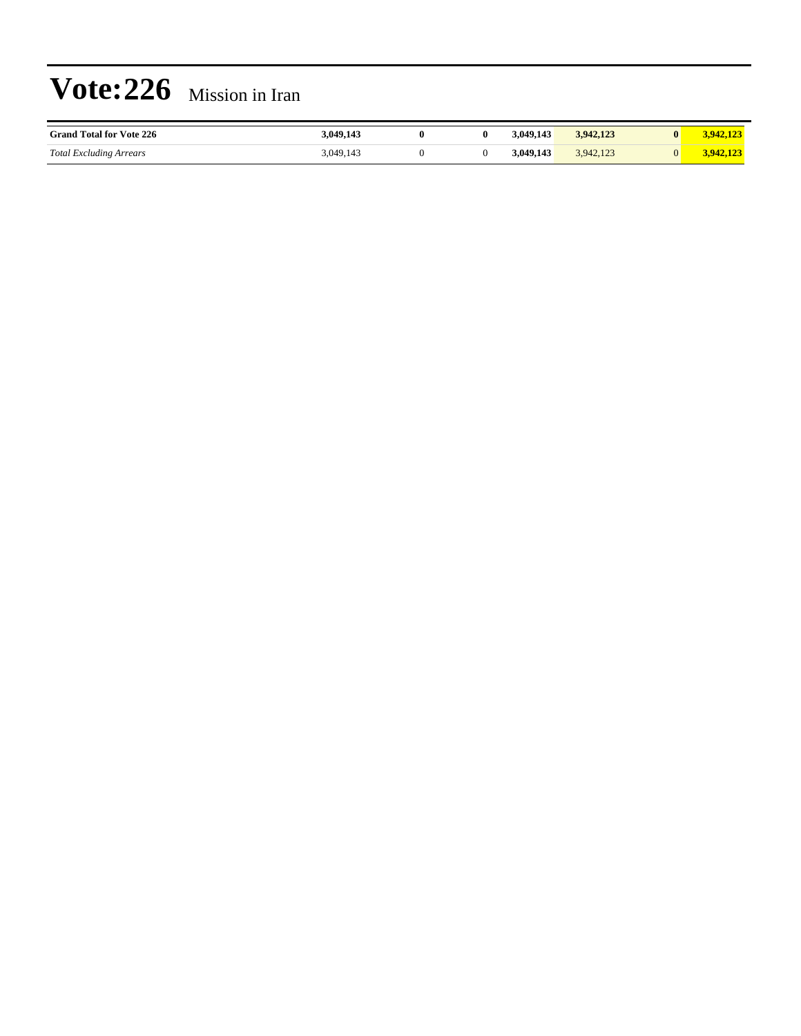| <b>Grand Total for Vote 226</b> | 3,049,143 |  | 3.049.143 | 3,942,123 | $-942.12$ |
|---------------------------------|-----------|--|-----------|-----------|-----------|
| <b>Total Excluding Arrears</b>  | 3,049,143 |  | 3,049,143 | 3,942,123 |           |